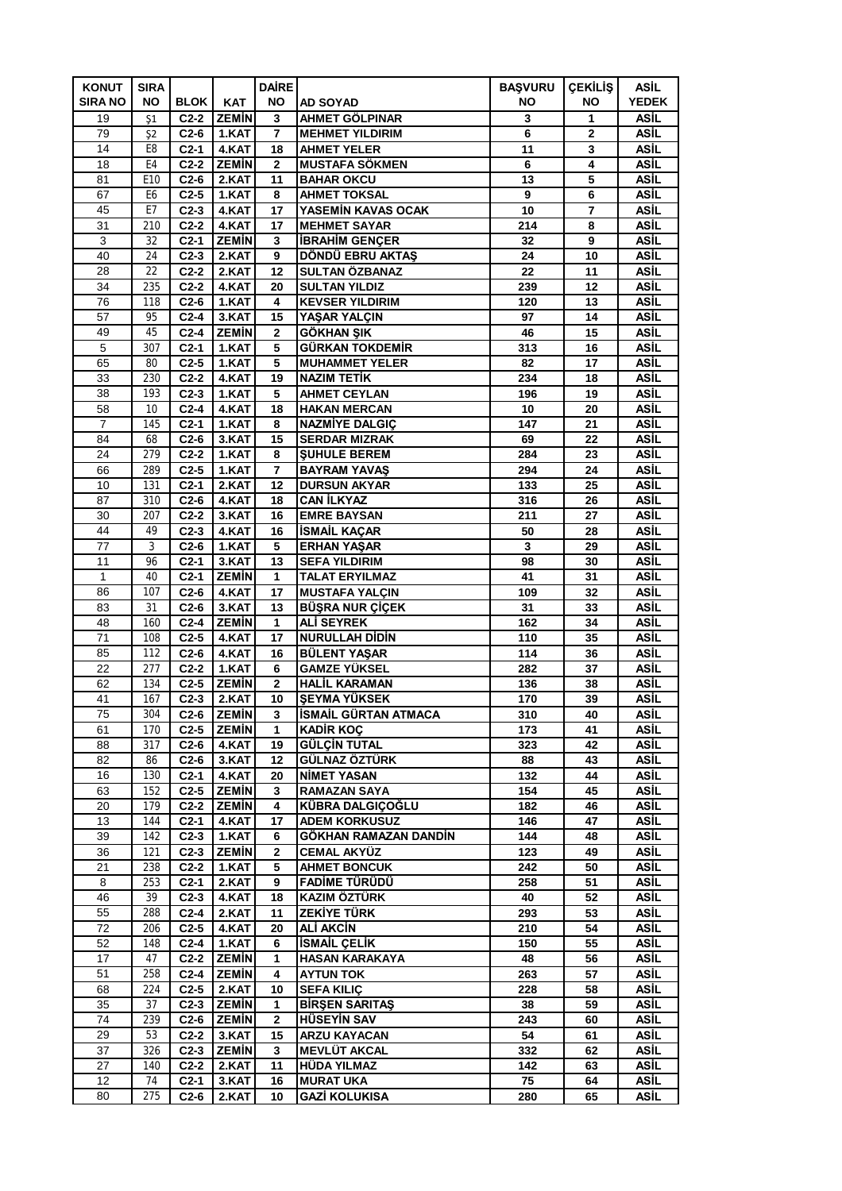| <b>KONUT</b>   | <b>SIRA</b>    |                  |                       | <b>DAIRE</b>   |                                              | <b>BAŞVURU</b> | <b>ÇEKİLİŞ</b> | <b>ASİL</b>  |
|----------------|----------------|------------------|-----------------------|----------------|----------------------------------------------|----------------|----------------|--------------|
| <b>SIRA NO</b> | NO.            | <b>BLOK</b>      | <b>KAT</b>            | <b>NO</b>      | <b>AD SOYAD</b>                              | NO             | ΝO             | <b>YEDEK</b> |
| 19             | $\mathsf{S}1$  | $C2-2$           | <b>ZEMIN</b>          | 3              | AHMET GÖLPINAR                               | 3              | 1              | ASİL         |
| 79             | 52             | $C2-6$           | 1.KAT                 | $\overline{7}$ | <b>MEHMET YILDIRIM</b>                       | 6              | $\mathbf{2}$   | ASİL         |
| 14             | E8             | $C2-1$           | 4.KAT                 | 18             | <b>AHMET YELER</b>                           | 11             | 3              | ASİL         |
| 18             | E <sub>4</sub> | $C2-2$           | <b>ZEMIN</b>          | $\overline{2}$ | <b>MUSTAFA SÖKMEN</b>                        | 6              | 4              | ASİL         |
| 81             | E10            | $C2-6$           | 2.KAT                 | 11             | <b>BAHAR OKCU</b>                            | 13             | 5              | ASİL         |
| 67             | E <sub>6</sub> | $C2-5$           | 1.KAT                 | 8              | <b>AHMET TOKSAL</b>                          | 9              | 6              | ASİL         |
| 45             | E7             | $C2-3$           | 4.KAT                 | 17             | YASEMİN KAVAS OCAK                           | 10             | $\overline{7}$ | ASİL         |
| 31<br>3        | 210<br>32      | $C2-2$<br>$C2-1$ | 4.KAT<br><b>ZEMIN</b> | 17<br>3        | <b>MEHMET SAYAR</b><br><b>IBRAHIM GENÇER</b> | 214<br>32      | 8<br>9         | ASİL<br>ASİL |
| 40             | 24             | $C2-3$           | 2.KAT                 | 9              | DÖNDÜ EBRU AKTAŞ                             | 24             | 10             | ASİL         |
| 28             | 22             | $C2-2$           | 2.KAT                 | 12             | SULTAN ÖZBANAZ                               | 22             | 11             | ASİL         |
| 34             | 235            | $C2-2$           | 4.KAT                 | 20             | <b>SULTAN YILDIZ</b>                         | 239            | 12             | ASİL         |
| 76             | 118            | $C2-6$           | 1.KAT                 | 4              | <b>KEVSER YILDIRIM</b>                       | 120            | 13             | ASİL         |
| 57             | 95             | $C2-4$           | 3.KAT                 | 15             | YASAR YALCIN                                 | 97             | 14             | ASİL         |
| 49             | 45             | $C2-4$           | <b>ZEMIN</b>          | $\mathbf 2$    | <b>GÖKHAN ŞIK</b>                            | 46             | 15             | ASİL         |
| 5              | 307            | $C2-1$           | 1.KAT                 | 5              | <b>GÜRKAN TOKDEMİR</b>                       | 313            | 16             | ASİL         |
| 65             | 80             | $C2-5$           | 1.KAT                 | 5              | <b>MUHAMMET YELER</b>                        | 82             | 17             | ASİL         |
| 33             | 230            | $C2-2$           | 4.KAT                 | 19             | <b>NAZIM TETIK</b>                           | 234            | 18             | ASİL         |
| 38             | 193            | $C2-3$           | 1.KAT                 | 5              | <b>AHMET CEYLAN</b>                          | 196            | 19             | ASİL         |
| 58             | 10             | $C2-4$           | 4.KAT                 | 18             | <b>HAKAN MERCAN</b>                          | 10             | 20             | ASİL         |
| 7              | 145            | $C2-1$           | 1.KAT                 | 8              | NAZMİYE DALGIÇ                               | 147            | 21             | ASİL         |
| 84             | 68             | $C2-6$           | 3.KAT                 | 15             | <b>SERDAR MIZRAK</b>                         | 69             | 22             | ASİL         |
| 24             | 279            | $C2-2$           | 1.KAT                 | 8              | <b>SUHULE BEREM</b>                          | 284            | 23             | ASİL         |
| 66             | 289            | $C2-5$           | 1.KAT                 | 7              | <b>BAYRAM YAVAS</b>                          | 294            | 24             | ASİL         |
| 10             | 131            | $C2-1$           | 2.KAT                 | 12             | <b>DURSUN AKYAR</b>                          | 133            | 25             | ASİL         |
| 87             | 310            | $C2-6$           | 4.KAT                 | 18             | <b>CAN İLKYAZ</b>                            | 316            | 26             | ASİL         |
| 30             | 207            | $C2-2$           | 3.KAT                 | 16             | <b>EMRE BAYSAN</b>                           | 211            | 27             | ASİL         |
| 44             | 49             | $C2-3$           | 4.KAT                 | 16             | <b>İSMAİL KAÇAR</b>                          | 50             | 28             | ASİL         |
| 77             | 3              | $C2-6$           | 1.KAT                 | 5              | <b>ERHAN YASAR</b>                           | 3              | 29             | <b>ASİL</b>  |
| 11             | 96             | $C2-1$           | 3.KAT                 | 13             | <b>SEFA YILDIRIM</b>                         | 98             | 30             | ASİL         |
| 1              | 40             | $C2-1$           | <b>ZEMIN</b>          | 1              | <b>TALAT ERYILMAZ</b>                        | 41             | 31             | ASİL         |
| 86             | 107            | $C2-6$           | 4.KAT                 | 17             | <b>MUSTAFA YALÇIN</b>                        | 109            | 32             | ASİL         |
| 83             | 31             | $C2-6$           | 3.KAT                 | 13             | <b>BÜŞRA NUR ÇİÇEK</b>                       | 31             | 33             | ASİL         |
| 48             | 160            | $C2-4$           | <b>ZEMIN</b>          | 1              | <b>ALİ SEYREK</b>                            | 162            | 34             | ASİL         |
| 71             | 108            | $C2-5$           | 4.KAT                 | 17             | <b>NURULLAH DİDİN</b>                        | 110            | 35             | ASİL         |
| 85             | 112            | $C2-6$           | 4.KAT                 | 16             | <b>BÜLENT YAŞAR</b>                          | 114            | 36             | ASİL         |
| 22             | 277            | $C2-2$           | 1.KAT                 | 6              | <b>GAMZE YÜKSEL</b>                          | 282            | 37             | ASİL         |
| 62             | 134            | $C2-5$           | <b>ZEMIN</b>          | 2              | <b>HALIL KARAMAN</b>                         | 136            | 38             | ASİL         |
| 41             | 167            | $C2-3$           | 2.KAT                 | 10             | <b>SEYMA YÜKSEK</b>                          | 170            | 39             | ASİL         |
| 75             | 304            | $C2-6$           | <b>ZEMIN</b>          | 3              | ÍSMAÍL GÜRTAN ATMACA                         | 310            | 40             | <b>ASIL</b>  |
| 61             | 170            | $C2-5$           | <b>ZEMIN</b>          | 1              | <b>KADIR KOÇ</b>                             | 173            | 41             | ASİL         |
| 88<br>82       | 317<br>86      | $C2-6$<br>$C2-6$ | 4.KAT<br>3.KAT        | 19<br>12       | <b>GÜLÇİN TUTAL</b><br>GÜLNAZ ÖZTÜRK         | 323<br>88      | 42<br>43       | ASİL<br>ASİL |
| 16             | 130            | $C2-1$           | 4.KAT                 | 20             | <b>NIMET YASAN</b>                           | 132            | 44             | ASİL         |
| 63             | 152            | $C2-5$           | <b>ZEMIN</b>          | 3              | <b>RAMAZAN SAYA</b>                          | 154            | 45             | ASİL         |
| 20             | 179            | $C2-2$           | <b>ZEMİN</b>          | 4              | KÜBRA DALGIÇOĞLU                             | 182            | 46             | ASİL         |
| 13             | 144            | $C2-1$           | 4.KAT                 | 17             | <b>ADEM KORKUSUZ</b>                         | 146            | 47             | ASİL         |
| 39             | 142            | $C2-3$           | 1.KAT                 | 6              | GÖKHAN RAMAZAN DANDİN                        | 144            | 48             | ASİL         |
| 36             | 121            | $C2-3$           | <b>ZEMIN</b>          | $\mathbf{2}$   | <b>CEMAL AKYÜZ</b>                           | 123            | 49             | ASİL         |
| 21             | 238            | $C2-2$           | 1.KAT                 | 5              | <b>AHMET BONCUK</b>                          | 242            | 50             | <b>ASİL</b>  |
| 8              | 253            | $C2-1$           | 2.KAT                 | 9              | FADİME TÜRÜDÜ                                | 258            | 51             | ASİL         |
| 46             | 39             | $C2-3$           | 4.KAT                 | 18             | KAZIM ÖZTÜRK                                 | 40             | 52             | ASİL         |
| 55             | 288            | $C2-4$           | 2.KAT                 | 11             | <b>ZEKİYE TÜRK</b>                           | 293            | 53             | ASİL         |
| 72             | 206            | $C2-5$           | 4.KAT                 | 20             | <b>ALİ AKCİN</b>                             | 210            | 54             | ASİL         |
| 52             | 148            | $C2-4$           | 1.KAT                 | 6              | <b>İSMAİL ÇELİK</b>                          | 150            | 55             | ASİL         |
| 17             | 47             | $C2-2$           | <b>ZEMIN</b>          | 1              | <b>HASAN KARAKAYA</b>                        | 48             | 56             | ASİL         |
| 51             | 258            | $C2-4$           | <b>ZEMIN</b>          | 4              | <b>AYTUN TOK</b>                             | 263            | 57             | ASİL         |
| 68             | 224            | $C2-5$           | 2.KAT                 | 10             | <b>SEFA KILIC</b>                            | 228            | 58             | ASİL         |
| 35             | 37             | $C2-3$           | <b>ZEMIN</b>          | 1              | <b>BIRSEN SARITAS</b>                        | 38             | 59             | <b>ASİL</b>  |
| 74             | 239            | $C2-6$           | <b>ZEMIN</b>          | 2              | <b>HÜSEYİN SAV</b>                           | 243            | 60             | ASİL         |
| 29             | 53             | $C2-2$           | 3.KAT                 | 15             | <b>ARZU KAYACAN</b>                          | 54             | 61             | ASİL         |
| 37             | 326            | $C2-3$           | <b>ZEMIN</b>          | 3              | <b>MEVLÜT AKCAL</b>                          | 332            | 62             | ASİL         |
| 27             | 140            | $C2-2$           | 2.KAT                 | 11             | <b>HÜDA YILMAZ</b>                           | 142            | 63             | ASİL         |
| 12             | 74             | $C2-1$           | 3.KAT                 | 16             | <b>MURAT UKA</b>                             | 75             | 64             | ASİL         |
| 80             | 275            | $C2-6$           | 2.KAT                 | 10             | <b>GAZİ KOLUKISA</b>                         | 280            | 65             | ASİL         |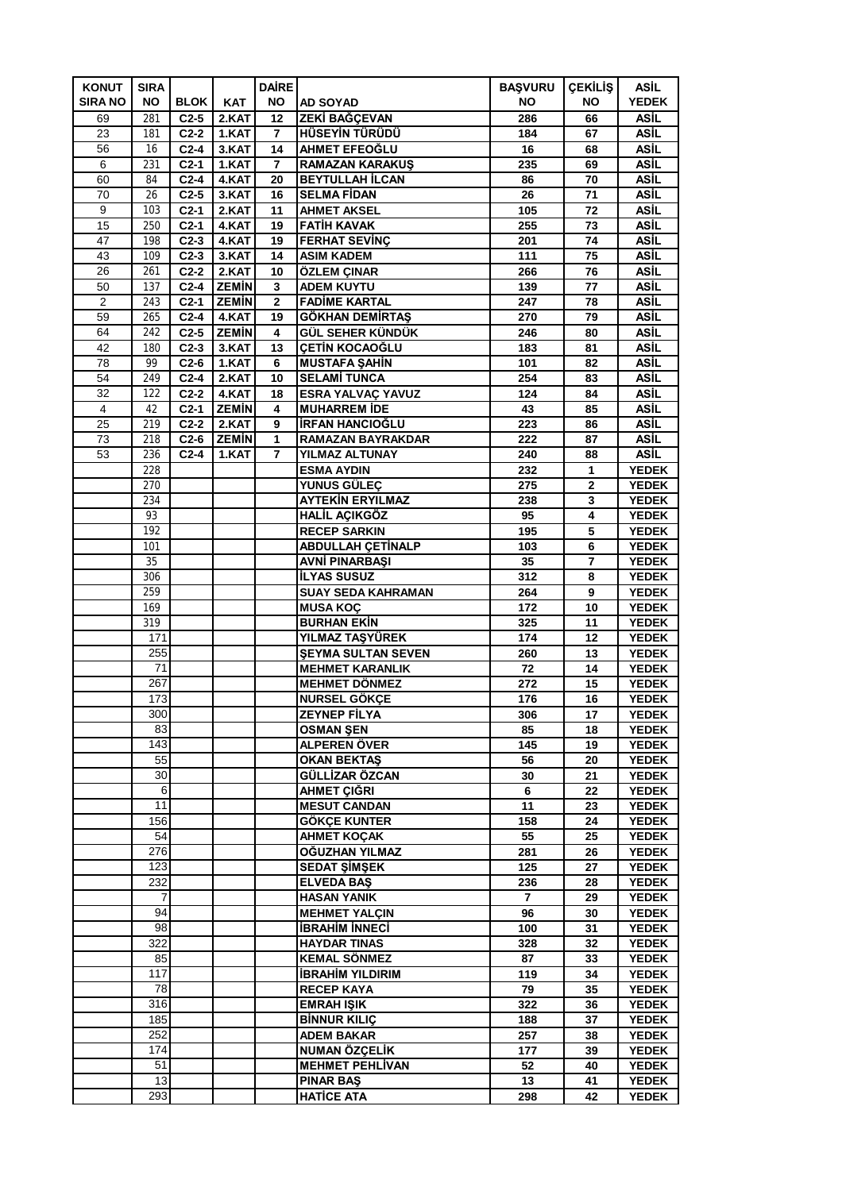| <b>KONUT</b>   | <b>SIRA</b> |                  |                | <b>DAIRE</b>   |                                                | <b>BAŞVURU</b> | <b>ÇEKİLİŞ</b>               | <b>ASİL</b>                  |
|----------------|-------------|------------------|----------------|----------------|------------------------------------------------|----------------|------------------------------|------------------------------|
| <b>SIRA NO</b> | NO.         | <b>BLOK</b>      | <b>KAT</b>     | <b>NO</b>      | <b>AD SOYAD</b>                                | NO             | ΝO                           | <b>YEDEK</b>                 |
| 69             | 281         | $C2-5$           | 2.KAT          | 12             | ZEKİ BAĞÇEVAN                                  | 286            | 66                           | ASİL                         |
| 23             | 181         | $C2-2$           | 1.KAT          | $\overline{ }$ | <b>HÜSEYİN TÜRÜDÜ</b>                          | 184            | 67                           | ASİL                         |
| 56             | 16          | $C2-4$           | 3.KAT          | 14             | AHMET EFEOĞLU                                  | 16             | 68                           | ASİL                         |
| 6              | 231         | $C2-1$           | 1.KAT          | 7              | <b>RAMAZAN KARAKUS</b>                         | 235            | 69                           | <b>ASIL</b>                  |
| 60             | 84          | $C2-4$           | 4.KAT          | 20             | <b>BEYTULLAH İLCAN</b>                         | 86             | 70                           | ASİL                         |
| 70             | 26          | $C2-5$           | 3.KAT          | 16             | <b>SELMA FİDAN</b>                             | 26             | 71                           | ASİL                         |
| 9              | 103         | $C2-1$           | 2.KAT          | 11             | <b>AHMET AKSEL</b>                             | 105            | 72                           | ASİL                         |
| 15<br>47       | 250<br>198  | $C2-1$<br>$C2-3$ | 4.KAT<br>4.KAT | 19<br>19       | <b>FATIH KAVAK</b><br><b>FERHAT SEVINÇ</b>     | 255<br>201     | 73<br>74                     | ASİL<br>ASİL                 |
| 43             | 109         | $C2-3$           | 3.KAT          | 14             | <b>ASIM KADEM</b>                              | 111            | 75                           | ASİL                         |
| 26             | 261         | $C2-2$           | 2.KAT          | 10             | ÖZLEM ÇINAR                                    | 266            | 76                           | ASİL                         |
| 50             | 137         | $C2-4$           | <b>ZEMIN</b>   | 3              | <b>ADEM KUYTU</b>                              | 139            | 77                           | ASİL                         |
| $\overline{2}$ | 243         | $C2-1$           | <b>ZEMIN</b>   | $\overline{2}$ | <b>FADİME KARTAL</b>                           | 247            | 78                           | ASİL                         |
| 59             | 265         | $C2-4$           | 4.KAT          | 19             | <b>GÖKHAN DEMIRTAS</b>                         | 270            | 79                           | ASİL                         |
| 64             | 242         | $C2-5$           | <b>ZEMIN</b>   | 4              | GÜL SEHER KÜNDÜK                               | 246            | 80                           | ASİL                         |
| 42             | 180         | $C2-3$           | 3.KAT          | 13             | <b>CETIN KOCAOĞLU</b>                          | 183            | 81                           | ASİL                         |
| 78             | 99          | $C2-6$           | 1.KAT          | 6              | <b>MUSTAFA SAHİN</b>                           | 101            | 82                           | ASİL                         |
| 54             | 249         | $C2-4$           | 2.KAT          | 10             | <b>SELAMİ TUNCA</b>                            | 254            | 83                           | ASİL                         |
| 32             | 122         | $C2-2$           | 4.KAT          | 18             | ESRA YALVAÇ YAVUZ                              | 124            | 84                           | ASİL                         |
| 4              | 42          | $C2-1$           | <b>ZEMIN</b>   | 4              | <b>MUHARREM IDE</b>                            | 43             | 85                           | ASİL                         |
| 25             | 219         | $C2-2$           | 2.KAT          | 9              | <b>İRFAN HANCIOĞLU</b>                         | 223            | 86                           | ASİL                         |
| 73             | 218         | $C2-6$           | <b>ZEMIN</b>   | 1              | <b>RAMAZAN BAYRAKDAR</b>                       | 222            | 87                           | ASİL                         |
| 53             | 236         | $C2-4$           | 1.KAT          | 7              | YILMAZ ALTUNAY<br><b>ESMA AYDIN</b>            | 240            | 88                           | ASİL                         |
|                | 228<br>270  |                  |                |                | <b>YUNUS GÜLEÇ</b>                             | 232<br>275     | $\mathbf{1}$<br>$\mathbf{2}$ | <b>YEDEK</b><br><b>YEDEK</b> |
|                | 234         |                  |                |                | <b>AYTEKİN ERYILMAZ</b>                        | 238            | 3                            | <b>YEDEK</b>                 |
|                | 93          |                  |                |                | <b>HALİL AÇIKGÖZ</b>                           | 95             | 4                            | <b>YEDEK</b>                 |
|                | 192         |                  |                |                | <b>RECEP SARKIN</b>                            | 195            | 5                            | <b>YEDEK</b>                 |
|                | 101         |                  |                |                | <b>ABDULLAH ÇETİNALP</b>                       | 103            | 6                            | <b>YEDEK</b>                 |
|                | 35          |                  |                |                | <b>AVNİ PINARBAŞI</b>                          | 35             | 7                            | <b>YEDEK</b>                 |
|                | 306         |                  |                |                | <b>İLYAS SUSUZ</b>                             | 312            | 8                            | <b>YEDEK</b>                 |
|                | 259         |                  |                |                | <b>SUAY SEDA KAHRAMAN</b>                      | 264            | 9                            | <b>YEDEK</b>                 |
|                | 169         |                  |                |                | <b>MUSA KOÇ</b>                                | 172            | 10                           | <b>YEDEK</b>                 |
|                | 319         |                  |                |                | <b>BURHAN EKİN</b>                             | 325            | 11                           | <b>YEDEK</b>                 |
|                | 171         |                  |                |                | YILMAZ TAŞYÜREK                                | 174            | 12                           | <b>YEDEK</b>                 |
|                | 255         |                  |                |                | <b>SEYMA SULTAN SEVEN</b>                      | 260            | 13                           | <b>YEDEK</b>                 |
|                | 71          |                  |                |                | <b>MEHMET KARANLIK</b>                         | 72             | 14                           | <b>YEDEK</b>                 |
|                | 267         |                  |                |                | <b>MEHMET DÖNMEZ</b>                           | 272            | 15                           | <b>YEDEK</b>                 |
|                | 173         |                  |                |                | NURSEL GÖKÇE                                   | 176            | 16                           | <b>YEDEK</b>                 |
|                | 300<br>83   |                  |                |                | <b>ZEYNEP FİLYA</b>                            | 306<br>85      | 17                           | <b>YEDEK</b>                 |
|                | 143         |                  |                |                | OSMAN ŞEN<br>ALPEREN ÖVER                      | 145            | 18<br>19                     | <b>YEDEK</b><br><b>YEDEK</b> |
|                | 55          |                  |                |                | <b>OKAN BEKTAS</b>                             | 56             | 20                           | <b>YEDEK</b>                 |
|                | 30          |                  |                |                | GÜLLİZAR ÖZCAN                                 | 30             | 21                           | <b>YEDEK</b>                 |
|                | 6           |                  |                |                | AHMET ÇIĞRI                                    | 6              | 22                           | <b>YEDEK</b>                 |
|                | 11          |                  |                |                | <b>MESUT CANDAN</b>                            | 11             | 23                           | <b>YEDEK</b>                 |
|                | 156         |                  |                |                | <b>GÖKÇE KUNTER</b>                            | 158            | 24                           | <b>YEDEK</b>                 |
|                | 54          |                  |                |                | <b>AHMET KOCAK</b>                             | 55             | 25                           | <b>YEDEK</b>                 |
|                | 276         |                  |                |                | OĞUZHAN YILMAZ                                 | 281            | 26                           | <b>YEDEK</b>                 |
|                | 123         |                  |                |                | <b>SEDAT ŞİMŞEK</b>                            | 125            | 27                           | <b>YEDEK</b>                 |
|                | 232         |                  |                |                | <b>ELVEDA BAS</b>                              | 236            | 28                           | <b>YEDEK</b>                 |
|                | 7           |                  |                |                | <b>HASAN YANIK</b>                             | $\overline{7}$ | 29                           | <b>YEDEK</b>                 |
|                | 94          |                  |                |                | <b>MEHMET YALCIN</b>                           | 96             | 30                           | <b>YEDEK</b>                 |
|                | 98          |                  |                |                | <b>İBRAHİM İNNECİ</b>                          | 100            | 31                           | <b>YEDEK</b>                 |
|                | 322<br>85   |                  |                |                | <b>HAYDAR TINAS</b>                            | 328            | 32                           | <b>YEDEK</b>                 |
|                | 117         |                  |                |                | <b>KEMAL SÖNMEZ</b><br><b>İBRAHİM YILDIRIM</b> | 87<br>119      | 33<br>34                     | <b>YEDEK</b><br><b>YEDEK</b> |
|                | 78          |                  |                |                | <b>RECEP KAYA</b>                              | 79             | 35                           | <b>YEDEK</b>                 |
|                | 316         |                  |                |                | <b>EMRAH ISIK</b>                              | 322            | 36                           | <b>YEDEK</b>                 |
|                | 185         |                  |                |                | <b>BİNNUR KILIÇ</b>                            | 188            | 37                           | <b>YEDEK</b>                 |
|                | 252         |                  |                |                | <b>ADEM BAKAR</b>                              | 257            | 38                           | <b>YEDEK</b>                 |
|                | 174         |                  |                |                | NUMAN ÖZÇELİK                                  | 177            | 39                           | <b>YEDEK</b>                 |
|                | 51          |                  |                |                | <b>MEHMET PEHLIVAN</b>                         | 52             | 40                           | <b>YEDEK</b>                 |
|                | 13          |                  |                |                | <b>PINAR BAS</b>                               | 13             | 41                           | <b>YEDEK</b>                 |
|                | 293         |                  |                |                | <b>HATICE ATA</b>                              | 298            | 42                           | <b>YEDEK</b>                 |